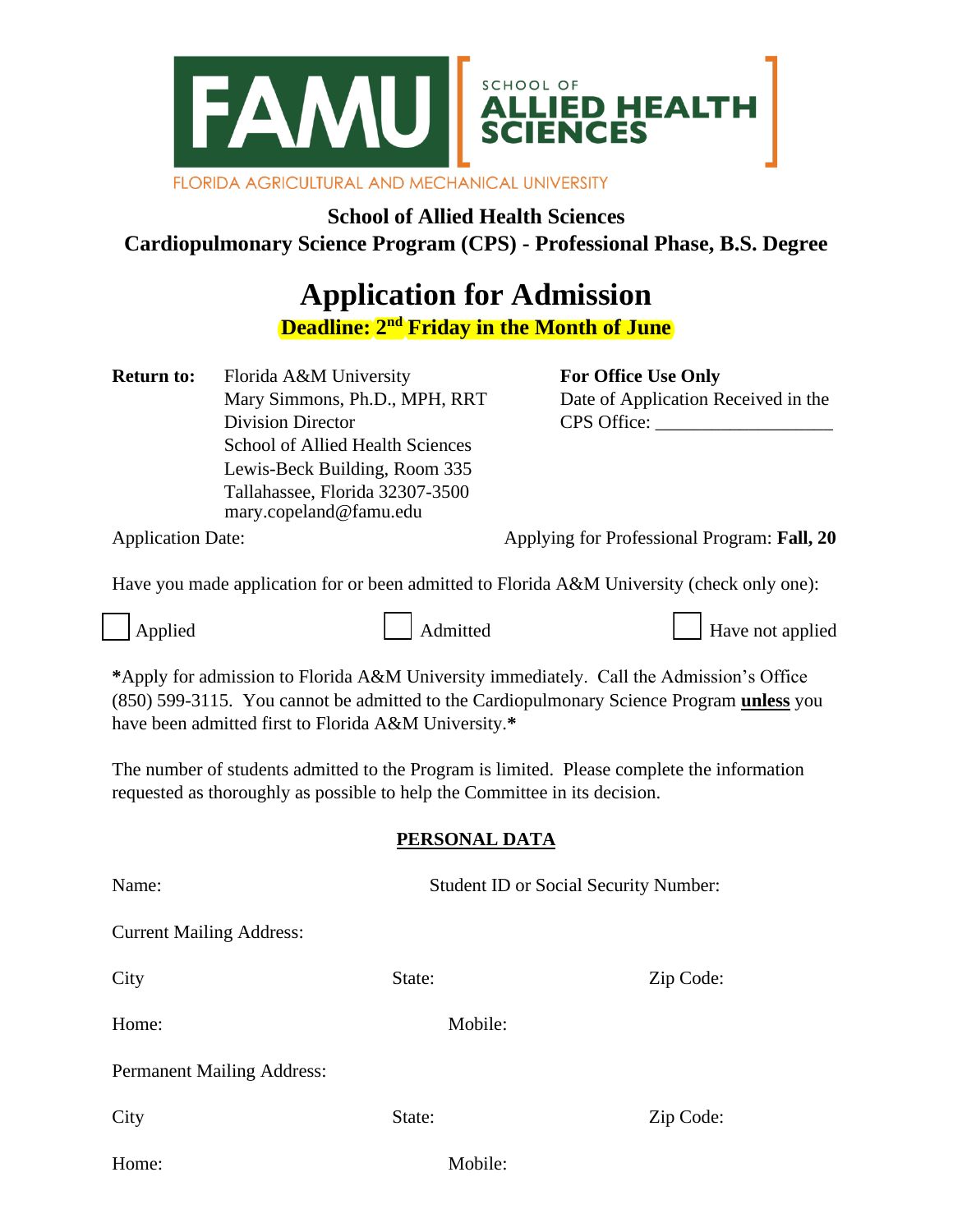

**School of Allied Health Sciences Cardiopulmonary Science Program (CPS) - Professional Phase, B.S. Degree**

# **Application for Admission**

**Deadline: 2nd Friday in the Month of June**

**Return to:** Florida A&M University **For Office Use Only** Division Director CPS Office: School of Allied Health Sciences Lewis-Beck Building, Room 335 Tallahassee, Florida 32307-3500 mary.copeland@famu.edu

Mary Simmons, Ph.D., MPH, RRT Date of Application Received in the

Application Date: Applying for Professional Program: **Fall, 20**

Have you made application for or been admitted to Florida A&M University (check only one):

Applied Admitted Have not applied

**\***Apply for admission to Florida A&M University immediately. Call the Admission's Office (850) 599-3115. You cannot be admitted to the Cardiopulmonary Science Program **unless** you have been admitted first to Florida A&M University.**\***

The number of students admitted to the Program is limited. Please complete the information requested as thoroughly as possible to help the Committee in its decision.

### **PERSONAL DATA**

| Name:                             | <b>Student ID or Social Security Number:</b> |         |           |
|-----------------------------------|----------------------------------------------|---------|-----------|
| <b>Current Mailing Address:</b>   |                                              |         |           |
| City                              | State:                                       |         | Zip Code: |
| Home:                             |                                              | Mobile: |           |
| <b>Permanent Mailing Address:</b> |                                              |         |           |
| City                              | State:                                       |         | Zip Code: |
| Home:                             |                                              | Mobile: |           |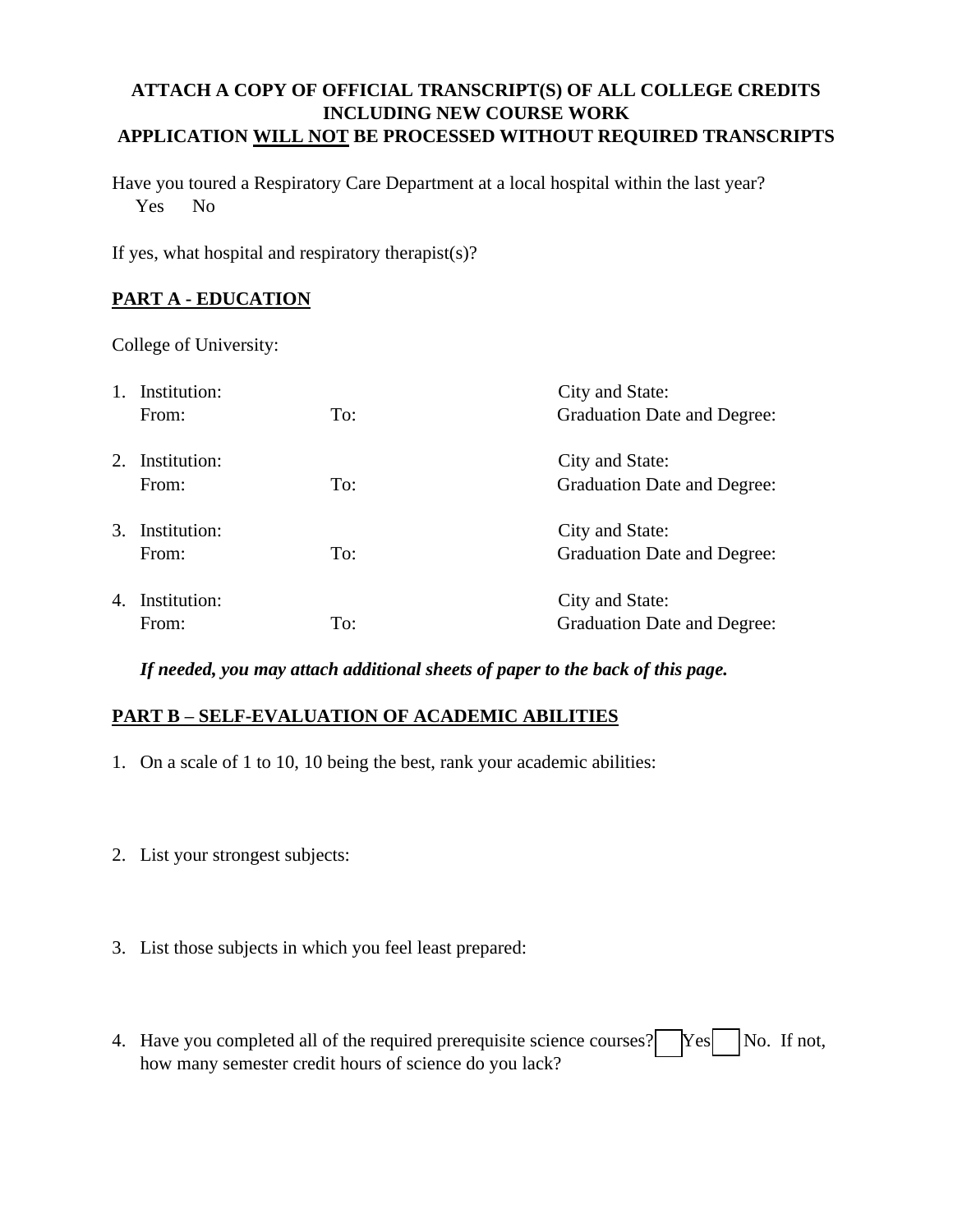#### **ATTACH A COPY OF OFFICIAL TRANSCRIPT(S) OF ALL COLLEGE CREDITS INCLUDING NEW COURSE WORK APPLICATION WILL NOT BE PROCESSED WITHOUT REQUIRED TRANSCRIPTS**

Have you toured a Respiratory Care Department at a local hospital within the last year? Yes No

If yes, what hospital and respiratory therapist $(s)$ ?

#### **PART A - EDUCATION**

College of University:

|         | Institution: |     | City and State:             |
|---------|--------------|-----|-----------------------------|
|         | From:        | To: | Graduation Date and Degree: |
| $2^{1}$ | Institution: |     | City and State:             |
|         | From:        | To: | Graduation Date and Degree: |
| 3.      | Institution: |     | City and State:             |
|         | From:        | To: | Graduation Date and Degree: |
| 4.      | Institution: |     | City and State:             |
|         | From:        | To: | Graduation Date and Degree: |

*If needed, you may attach additional sheets of paper to the back of this page.*

#### **PART B – SELF-EVALUATION OF ACADEMIC ABILITIES**

- 1. On a scale of 1 to 10, 10 being the best, rank your academic abilities:
- 2. List your strongest subjects:
- 3. List those subjects in which you feel least prepared:
- 4. Have you completed all of the required prerequisite science courses?  $\forall$  Yes No. If not, how many semester credit hours of science do you lack?